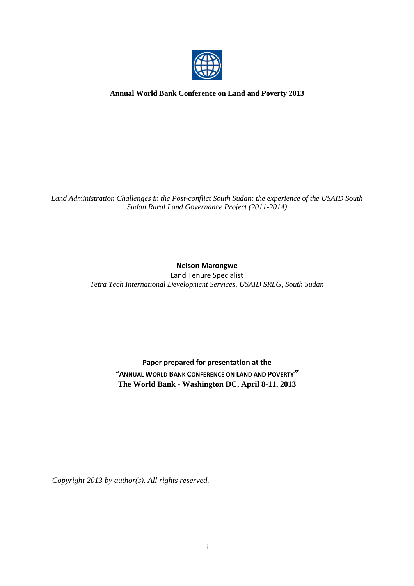

**Annual World Bank Conference on Land and Poverty 2013**

*Land Administration Challenges in the Post-conflict South Sudan: the experience of the USAID South Sudan Rural Land Governance Project (2011-2014)*

**Nelson Marongwe**

Land Tenure Specialist *Tetra Tech International Development Services, USAID SRLG, South Sudan*

> **Paper prepared for presentation at the "ANNUAL WORLD BANK CONFERENCE ON LAND AND POVERTY***"* **The World Bank - Washington DC, April 8-11, 2013**

*Copyright 2013 by author(s). All rights reserved.*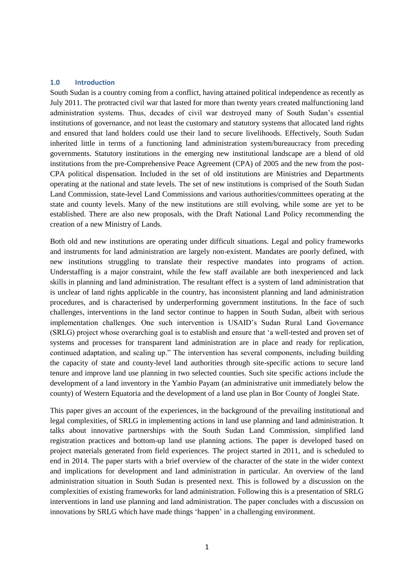#### **1.0 Introduction**

South Sudan is a country coming from a conflict, having attained political independence as recently as July 2011. The protracted civil war that lasted for more than twenty years created malfunctioning land administration systems. Thus, decades of civil war destroyed many of South Sudan"s essential institutions of governance, and not least the customary and statutory systems that allocated land rights and ensured that land holders could use their land to secure livelihoods. Effectively, South Sudan inherited little in terms of a functioning land administration system/bureaucracy from preceding governments. Statutory institutions in the emerging new institutional landscape are a blend of old institutions from the pre-Comprehensive Peace Agreement (CPA) of 2005 and the new from the post-CPA political dispensation. Included in the set of old institutions are Ministries and Departments operating at the national and state levels. The set of new institutions is comprised of the South Sudan Land Commission, state-level Land Commissions and various authorities/committees operating at the state and county levels. Many of the new institutions are still evolving, while some are yet to be established. There are also new proposals, with the Draft National Land Policy recommending the creation of a new Ministry of Lands.

Both old and new institutions are operating under difficult situations. Legal and policy frameworks and instruments for land administration are largely non-existent. Mandates are poorly defined, with new institutions struggling to translate their respective mandates into programs of action. Understaffing is a major constraint, while the few staff available are both inexperienced and lack skills in planning and land administration. The resultant effect is a system of land administration that is unclear of land rights applicable in the country, has inconsistent planning and land administration procedures, and is characterised by underperforming government institutions. In the face of such challenges, interventions in the land sector continue to happen in South Sudan, albeit with serious implementation challenges. One such intervention is USAID"s Sudan Rural Land Governance (SRLG) project whose overarching goal is to establish and ensure that "a well-tested and proven set of systems and processes for transparent land administration are in place and ready for replication, continued adaptation, and scaling up." The intervention has several components, including building the capacity of state and county-level land authorities through site-specific actions to secure land tenure and improve land use planning in two selected counties. Such site specific actions include the development of a land inventory in the Yambio Payam (an administrative unit immediately below the county) of Western Equatoria and the development of a land use plan in Bor County of Jonglei State.

This paper gives an account of the experiences, in the background of the prevailing institutional and legal complexities, of SRLG in implementing actions in land use planning and land administration. It talks about innovative partnerships with the South Sudan Land Commission, simplified land registration practices and bottom-up land use planning actions. The paper is developed based on project materials generated from field experiences. The project started in 2011, and is scheduled to end in 2014. The paper starts with a brief overview of the character of the state in the wider context and implications for development and land administration in particular. An overview of the land administration situation in South Sudan is presented next. This is followed by a discussion on the complexities of existing frameworks for land administration. Following this is a presentation of SRLG interventions in land use planning and land administration. The paper concludes with a discussion on innovations by SRLG which have made things "happen" in a challenging environment.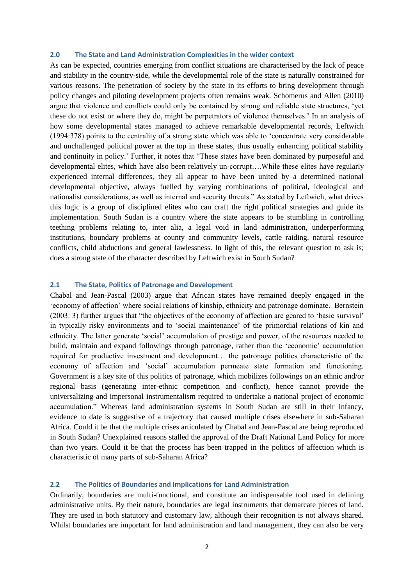#### **2.0 The State and Land Administration Complexities in the wider context**

As can be expected, countries emerging from conflict situations are characterised by the lack of peace and stability in the country-side, while the developmental role of the state is naturally constrained for various reasons. The penetration of society by the state in its efforts to bring development through policy changes and piloting development projects often remains weak. Schomerus and Allen (2010) argue that violence and conflicts could only be contained by strong and reliable state structures, "yet these do not exist or where they do, might be perpetrators of violence themselves." In an analysis of how some developmental states managed to achieve remarkable developmental records, Leftwich (1994:378) points to the centrality of a strong state which was able to "concentrate very considerable and unchallenged political power at the top in these states, thus usually enhancing political stability and continuity in policy." Further, it notes that "These states have been dominated by purposeful and developmental elites, which have also been relatively un-corrupt….While these elites have regularly experienced internal differences, they all appear to have been united by a determined national developmental objective, always fuelled by varying combinations of political, ideological and nationalist considerations, as well as internal and security threats." As stated by Leftwich, what drives this logic is a group of disciplined elites who can craft the right political strategies and guide its implementation. South Sudan is a country where the state appears to be stumbling in controlling teething problems relating to, inter alia, a legal void in land administration, underperforming institutions, boundary problems at county and community levels, cattle raiding, natural resource conflicts, child abductions and general lawlessness. In light of this, the relevant question to ask is; does a strong state of the character described by Leftwich exist in South Sudan?

## **2.1 The State, Politics of Patronage and Development**

Chabal and Jean-Pascal (2003) argue that African states have remained deeply engaged in the "economy of affection" where social relations of kinship, ethnicity and patronage dominate. Bernstein (2003: 3) further argues that "the objectives of the economy of affection are geared to "basic survival" in typically risky environments and to "social maintenance" of the primordial relations of kin and ethnicity. The latter generate "social" accumulation of prestige and power, of the resources needed to build, maintain and expand followings through patronage, rather than the "economic" accumulation required for productive investment and development… the patronage politics characteristic of the economy of affection and "social" accumulation permeate state formation and functioning. Government is a key site of this politics of patronage, which mobilizes followings on an ethnic and/or regional basis (generating inter-ethnic competition and conflict), hence cannot provide the universalizing and impersonal instrumentalism required to undertake a national project of economic accumulation." Whereas land administration systems in South Sudan are still in their infancy, evidence to date is suggestive of a trajectory that caused multiple crises elsewhere in sub-Saharan Africa. Could it be that the multiple crises articulated by Chabal and Jean-Pascal are being reproduced in South Sudan? Unexplained reasons stalled the approval of the Draft National Land Policy for more than two years. Could it be that the process has been trapped in the politics of affection which is characteristic of many parts of sub-Saharan Africa?

#### **2.2 The Politics of Boundaries and Implications for Land Administration**

Ordinarily, boundaries are multi-functional, and constitute an indispensable tool used in defining administrative units. By their nature, boundaries are legal instruments that demarcate pieces of land. They are used in both statutory and customary law, although their recognition is not always shared. Whilst boundaries are important for land administration and land management, they can also be very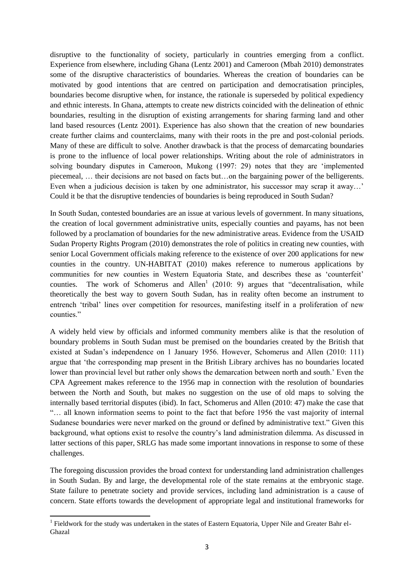disruptive to the functionality of society, particularly in countries emerging from a conflict. Experience from elsewhere, including Ghana (Lentz 2001) and Cameroon (Mbah 2010) demonstrates some of the disruptive characteristics of boundaries. Whereas the creation of boundaries can be motivated by good intentions that are centred on participation and democratisation principles, boundaries become disruptive when, for instance, the rationale is superseded by political expediency and ethnic interests. In Ghana, attempts to create new districts coincided with the delineation of ethnic boundaries, resulting in the disruption of existing arrangements for sharing farming land and other land based resources (Lentz 2001). Experience has also shown that the creation of new boundaries create further claims and counterclaims, many with their roots in the pre and post-colonial periods. Many of these are difficult to solve. Another drawback is that the process of demarcating boundaries is prone to the influence of local power relationships. Writing about the role of administrators in solving boundary disputes in Cameroon, Mukong (1997: 29) notes that they are "implemented piecemeal, … their decisions are not based on facts but…on the bargaining power of the belligerents. Even when a judicious decision is taken by one administrator, his successor may scrap it away...' Could it be that the disruptive tendencies of boundaries is being reproduced in South Sudan?

In South Sudan, contested boundaries are an issue at various levels of government. In many situations, the creation of local government administrative units, especially counties and payams, has not been followed by a proclamation of boundaries for the new administrative areas. Evidence from the USAID Sudan Property Rights Program (2010) demonstrates the role of politics in creating new counties, with senior Local Government officials making reference to the existence of over 200 applications for new counties in the country. UN-HABITAT (2010) makes reference to numerous applications by communities for new counties in Western Equatoria State, and describes these as "counterfeit" counties. The work of Schomerus and Allen<sup>1</sup> (2010: 9) argues that "decentralisation, while theoretically the best way to govern South Sudan, has in reality often become an instrument to entrench "tribal" lines over competition for resources, manifesting itself in a proliferation of new counties."

A widely held view by officials and informed community members alike is that the resolution of boundary problems in South Sudan must be premised on the boundaries created by the British that existed at Sudan"s independence on 1 January 1956. However, Schomerus and Allen (2010: 111) argue that "the corresponding map present in the British Library archives has no boundaries located lower than provincial level but rather only shows the demarcation between north and south." Even the CPA Agreement makes reference to the 1956 map in connection with the resolution of boundaries between the North and South, but makes no suggestion on the use of old maps to solving the internally based territorial disputes (ibid). In fact, Schomerus and Allen (2010: 47) make the case that "… all known information seems to point to the fact that before 1956 the vast majority of internal Sudanese boundaries were never marked on the ground or defined by administrative text." Given this background, what options exist to resolve the country"s land administration dilemma. As discussed in latter sections of this paper, SRLG has made some important innovations in response to some of these challenges.

The foregoing discussion provides the broad context for understanding land administration challenges in South Sudan. By and large, the developmental role of the state remains at the embryonic stage. State failure to penetrate society and provide services, including land administration is a cause of concern. State efforts towards the development of appropriate legal and institutional frameworks for

The Territory of the study was undertaken in the states of Eastern Equatoria, Upper Nile and Greater Bahr el-Ghazal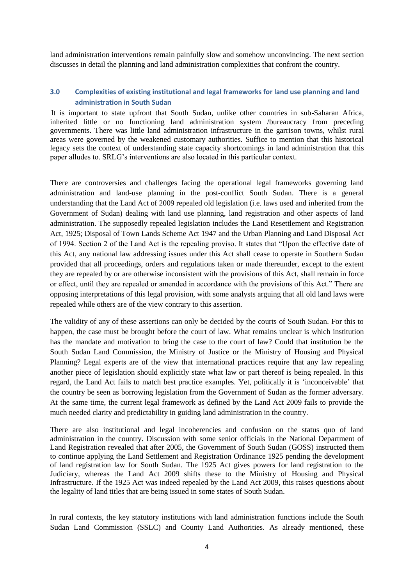land administration interventions remain painfully slow and somehow unconvincing. The next section discusses in detail the planning and land administration complexities that confront the country.

## **3.0 Complexities of existing institutional and legal frameworks for land use planning and land administration in South Sudan**

It is important to state upfront that South Sudan, unlike other countries in sub-Saharan Africa, inherited little or no functioning land administration system /bureaucracy from preceding governments. There was little land administration infrastructure in the garrison towns, whilst rural areas were governed by the weakened customary authorities. Suffice to mention that this historical legacy sets the context of understanding state capacity shortcomings in land administration that this paper alludes to. SRLG"s interventions are also located in this particular context.

There are controversies and challenges facing the operational legal frameworks governing land administration and land-use planning in the post-conflict South Sudan. There is a general understanding that the Land Act of 2009 repealed old legislation (i.e. laws used and inherited from the Government of Sudan) dealing with land use planning, land registration and other aspects of land administration. The supposedly repealed legislation includes the Land Resettlement and Registration Act, 1925; Disposal of Town Lands Scheme Act 1947 and the Urban Planning and Land Disposal Act of 1994. Section 2 of the Land Act is the repealing proviso. It states that "Upon the effective date of this Act, any national law addressing issues under this Act shall cease to operate in Southern Sudan provided that all proceedings, orders and regulations taken or made thereunder, except to the extent they are repealed by or are otherwise inconsistent with the provisions of this Act, shall remain in force or effect, until they are repealed or amended in accordance with the provisions of this Act." There are opposing interpretations of this legal provision, with some analysts arguing that all old land laws were repealed while others are of the view contrary to this assertion.

The validity of any of these assertions can only be decided by the courts of South Sudan. For this to happen, the case must be brought before the court of law. What remains unclear is which institution has the mandate and motivation to bring the case to the court of law? Could that institution be the South Sudan Land Commission, the Ministry of Justice or the Ministry of Housing and Physical Planning? Legal experts are of the view that international practices require that any law repealing another piece of legislation should explicitly state what law or part thereof is being repealed. In this regard, the Land Act fails to match best practice examples. Yet, politically it is "inconceivable" that the country be seen as borrowing legislation from the Government of Sudan as the former adversary. At the same time, the current legal framework as defined by the Land Act 2009 fails to provide the much needed clarity and predictability in guiding land administration in the country.

There are also institutional and legal incoherencies and confusion on the status quo of land administration in the country. Discussion with some senior officials in the National Department of Land Registration revealed that after 2005, the Government of South Sudan (GOSS) instructed them to continue applying the Land Settlement and Registration Ordinance 1925 pending the development of land registration law for South Sudan. The 1925 Act gives powers for land registration to the Judiciary, whereas the Land Act 2009 shifts these to the Ministry of Housing and Physical Infrastructure. If the 1925 Act was indeed repealed by the Land Act 2009, this raises questions about the legality of land titles that are being issued in some states of South Sudan.

In rural contexts, the key statutory institutions with land administration functions include the South Sudan Land Commission (SSLC) and County Land Authorities. As already mentioned, these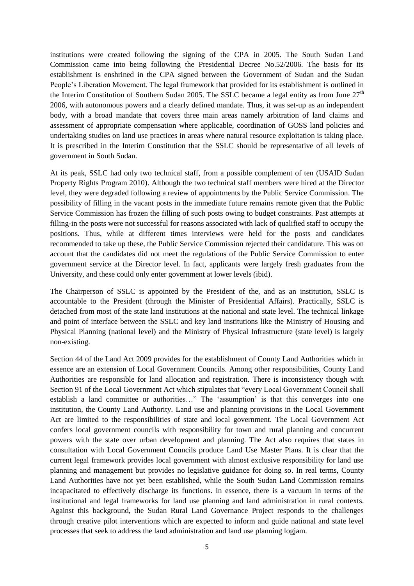institutions were created following the signing of the CPA in 2005. The South Sudan Land Commission came into being following the Presidential Decree No.52/2006. The basis for its establishment is enshrined in the CPA signed between the Government of Sudan and the Sudan People"s Liberation Movement. The legal framework that provided for its establishment is outlined in the Interim Constitution of Southern Sudan 2005. The SSLC became a legal entity as from June  $27<sup>th</sup>$ 2006, with autonomous powers and a clearly defined mandate. Thus, it was set-up as an independent body, with a broad mandate that covers three main areas namely arbitration of land claims and assessment of appropriate compensation where applicable, coordination of GOSS land policies and undertaking studies on land use practices in areas where natural resource exploitation is taking place. It is prescribed in the Interim Constitution that the SSLC should be representative of all levels of government in South Sudan.

At its peak, SSLC had only two technical staff, from a possible complement of ten (USAID Sudan Property Rights Program 2010). Although the two technical staff members were hired at the Director level, they were degraded following a review of appointments by the Public Service Commission. The possibility of filling in the vacant posts in the immediate future remains remote given that the Public Service Commission has frozen the filling of such posts owing to budget constraints. Past attempts at filling-in the posts were not successful for reasons associated with lack of qualified staff to occupy the positions. Thus, while at different times interviews were held for the posts and candidates recommended to take up these, the Public Service Commission rejected their candidature. This was on account that the candidates did not meet the regulations of the Public Service Commission to enter government service at the Director level. In fact, applicants were largely fresh graduates from the University, and these could only enter government at lower levels (ibid).

The Chairperson of SSLC is appointed by the President of the, and as an institution, SSLC is accountable to the President (through the Minister of Presidential Affairs). Practically, SSLC is detached from most of the state land institutions at the national and state level. The technical linkage and point of interface between the SSLC and key land institutions like the Ministry of Housing and Physical Planning (national level) and the Ministry of Physical Infrastructure (state level) is largely non-existing.

Section 44 of the Land Act 2009 provides for the establishment of County Land Authorities which in essence are an extension of Local Government Councils. Among other responsibilities, County Land Authorities are responsible for land allocation and registration. There is inconsistency though with Section 91 of the Local Government Act which stipulates that "every Local Government Council shall establish a land committee or authorities..." The 'assumption' is that this converges into one institution, the County Land Authority. Land use and planning provisions in the Local Government Act are limited to the responsibilities of state and local government. The Local Government Act confers local government councils with responsibility for town and rural planning and concurrent powers with the state over urban development and planning. The Act also requires that states in consultation with Local Government Councils produce Land Use Master Plans. It is clear that the current legal framework provides local government with almost exclusive responsibility for land use planning and management but provides no legislative guidance for doing so. In real terms, County Land Authorities have not yet been established, while the South Sudan Land Commission remains incapacitated to effectively discharge its functions. In essence, there is a vacuum in terms of the institutional and legal frameworks for land use planning and land administration in rural contexts. Against this background, the Sudan Rural Land Governance Project responds to the challenges through creative pilot interventions which are expected to inform and guide national and state level processes that seek to address the land administration and land use planning logjam.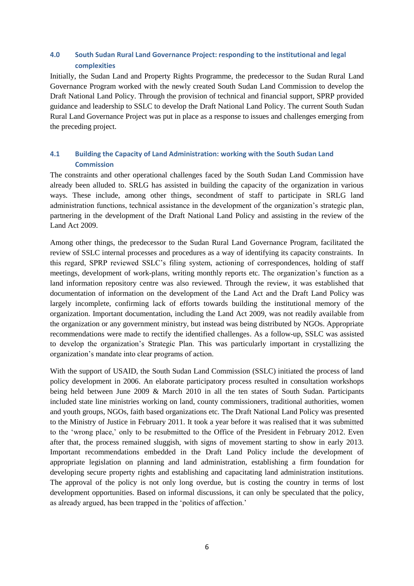# **4.0 South Sudan Rural Land Governance Project: responding to the institutional and legal complexities**

Initially, the Sudan Land and Property Rights Programme, the predecessor to the Sudan Rural Land Governance Program worked with the newly created South Sudan Land Commission to develop the Draft National Land Policy. Through the provision of technical and financial support, SPRP provided guidance and leadership to SSLC to develop the Draft National Land Policy. The current South Sudan Rural Land Governance Project was put in place as a response to issues and challenges emerging from the preceding project.

# **4.1 Building the Capacity of Land Administration: working with the South Sudan Land Commission**

The constraints and other operational challenges faced by the South Sudan Land Commission have already been alluded to. SRLG has assisted in building the capacity of the organization in various ways. These include, among other things, secondment of staff to participate in SRLG land administration functions, technical assistance in the development of the organization"s strategic plan, partnering in the development of the Draft National Land Policy and assisting in the review of the Land Act 2009.

Among other things, the predecessor to the Sudan Rural Land Governance Program, facilitated the review of SSLC internal processes and procedures as a way of identifying its capacity constraints. In this regard, SPRP reviewed SSLC"s filing system, actioning of correspondences, holding of staff meetings, development of work-plans, writing monthly reports etc. The organization"s function as a land information repository centre was also reviewed. Through the review, it was established that documentation of information on the development of the Land Act and the Draft Land Policy was largely incomplete, confirming lack of efforts towards building the institutional memory of the organization. Important documentation, including the Land Act 2009, was not readily available from the organization or any government ministry, but instead was being distributed by NGOs. Appropriate recommendations were made to rectify the identified challenges. As a follow-up, SSLC was assisted to develop the organization"s Strategic Plan. This was particularly important in crystallizing the organization"s mandate into clear programs of action.

With the support of USAID, the South Sudan Land Commission (SSLC) initiated the process of land policy development in 2006. An elaborate participatory process resulted in consultation workshops being held between June 2009 & March 2010 in all the ten states of South Sudan. Participants included state line ministries working on land, county commissioners, traditional authorities, women and youth groups, NGOs, faith based organizations etc. The Draft National Land Policy was presented to the Ministry of Justice in February 2011. It took a year before it was realised that it was submitted to the "wrong place," only to be resubmitted to the Office of the President in February 2012. Even after that, the process remained sluggish, with signs of movement starting to show in early 2013. Important recommendations embedded in the Draft Land Policy include the development of appropriate legislation on planning and land administration, establishing a firm foundation for developing secure property rights and establishing and capacitating land administration institutions. The approval of the policy is not only long overdue, but is costing the country in terms of lost development opportunities. Based on informal discussions, it can only be speculated that the policy, as already argued, has been trapped in the "politics of affection."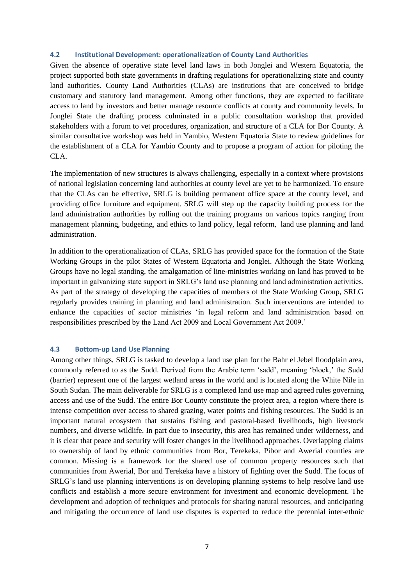#### **4.2 Institutional Development: operationalization of County Land Authorities**

Given the absence of operative state level land laws in both Jonglei and Western Equatoria, the project supported both state governments in drafting regulations for operationalizing state and county land authorities. County Land Authorities (CLAs) are institutions that are conceived to bridge customary and statutory land management. Among other functions, they are expected to facilitate access to land by investors and better manage resource conflicts at county and community levels. In Jonglei State the drafting process culminated in a public consultation workshop that provided stakeholders with a forum to vet procedures, organization, and structure of a CLA for Bor County. A similar consultative workshop was held in Yambio, Western Equatoria State to review guidelines for the establishment of a CLA for Yambio County and to propose a program of action for piloting the CLA.

The implementation of new structures is always challenging, especially in a context where provisions of national legislation concerning land authorities at county level are yet to be harmonized. To ensure that the CLAs can be effective, SRLG is building permanent office space at the county level, and providing office furniture and equipment. SRLG will step up the capacity building process for the land administration authorities by rolling out the training programs on various topics ranging from management planning, budgeting, and ethics to land policy, legal reform, land use planning and land administration.

In addition to the operationalization of CLAs, SRLG has provided space for the formation of the State Working Groups in the pilot States of Western Equatoria and Jonglei. Although the State Working Groups have no legal standing, the amalgamation of line-ministries working on land has proved to be important in galvanizing state support in SRLG"s land use planning and land administration activities. As part of the strategy of developing the capacities of members of the State Working Group, SRLG regularly provides training in planning and land administration. Such interventions are intended to enhance the capacities of sector ministries "in legal reform and land administration based on responsibilities prescribed by the Land Act 2009 and Local Government Act 2009."

### **4.3 Bottom-up Land Use Planning**

Among other things, SRLG is tasked to develop a land use plan for the Bahr el Jebel floodplain area, commonly referred to as the Sudd. Derived from the Arabic term "sadd", meaning "block," the Sudd (barrier) represent one of the largest wetland areas in the world and is located along the White Nile in South Sudan. The main deliverable for SRLG is a completed land use map and agreed rules governing access and use of the Sudd. The entire Bor County constitute the project area, a region where there is intense competition over access to shared grazing, water points and fishing resources. The Sudd is an important natural ecosystem that sustains fishing and pastoral-based livelihoods, high livestock numbers, and diverse wildlife. In part due to insecurity, this area has remained under wilderness, and it is clear that peace and security will foster changes in the livelihood approaches. Overlapping claims to ownership of land by ethnic communities from Bor, Terekeka, Pibor and Awerial counties are common. Missing is a framework for the shared use of common property resources such that communities from Awerial, Bor and Terekeka have a history of fighting over the Sudd. The focus of SRLG"s land use planning interventions is on developing planning systems to help resolve land use conflicts and establish a more secure environment for investment and economic development. The development and adoption of techniques and protocols for sharing natural resources, and anticipating and mitigating the occurrence of land use disputes is expected to reduce the perennial inter-ethnic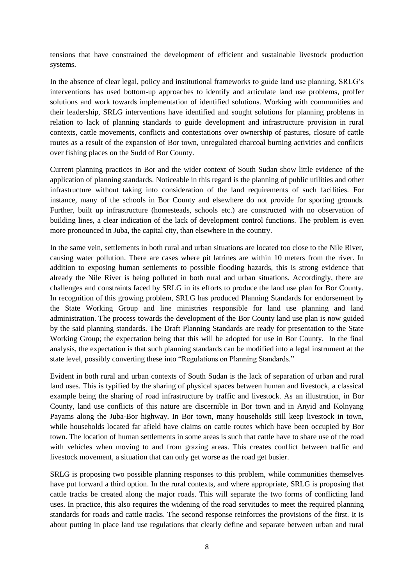tensions that have constrained the development of efficient and sustainable livestock production systems.

In the absence of clear legal, policy and institutional frameworks to guide land use planning, SRLG"s interventions has used bottom-up approaches to identify and articulate land use problems, proffer solutions and work towards implementation of identified solutions. Working with communities and their leadership, SRLG interventions have identified and sought solutions for planning problems in relation to lack of planning standards to guide development and infrastructure provision in rural contexts, cattle movements, conflicts and contestations over ownership of pastures, closure of cattle routes as a result of the expansion of Bor town, unregulated charcoal burning activities and conflicts over fishing places on the Sudd of Bor County.

Current planning practices in Bor and the wider context of South Sudan show little evidence of the application of planning standards. Noticeable in this regard is the planning of public utilities and other infrastructure without taking into consideration of the land requirements of such facilities. For instance, many of the schools in Bor County and elsewhere do not provide for sporting grounds. Further, built up infrastructure (homesteads, schools etc.) are constructed with no observation of building lines, a clear indication of the lack of development control functions. The problem is even more pronounced in Juba, the capital city, than elsewhere in the country.

In the same vein, settlements in both rural and urban situations are located too close to the Nile River, causing water pollution. There are cases where pit latrines are within 10 meters from the river. In addition to exposing human settlements to possible flooding hazards, this is strong evidence that already the Nile River is being polluted in both rural and urban situations. Accordingly, there are challenges and constraints faced by SRLG in its efforts to produce the land use plan for Bor County. In recognition of this growing problem, SRLG has produced Planning Standards for endorsement by the State Working Group and line ministries responsible for land use planning and land administration. The process towards the development of the Bor County land use plan is now guided by the said planning standards. The Draft Planning Standards are ready for presentation to the State Working Group; the expectation being that this will be adopted for use in Bor County. In the final analysis, the expectation is that such planning standards can be modified into a legal instrument at the state level, possibly converting these into "Regulations on Planning Standards."

Evident in both rural and urban contexts of South Sudan is the lack of separation of urban and rural land uses. This is typified by the sharing of physical spaces between human and livestock, a classical example being the sharing of road infrastructure by traffic and livestock. As an illustration, in Bor County, land use conflicts of this nature are discernible in Bor town and in Anyid and Kolnyang Payams along the Juba-Bor highway. In Bor town, many households still keep livestock in town, while households located far afield have claims on cattle routes which have been occupied by Bor town. The location of human settlements in some areas is such that cattle have to share use of the road with vehicles when moving to and from grazing areas. This creates conflict between traffic and livestock movement, a situation that can only get worse as the road get busier.

SRLG is proposing two possible planning responses to this problem, while communities themselves have put forward a third option. In the rural contexts, and where appropriate, SRLG is proposing that cattle tracks be created along the major roads. This will separate the two forms of conflicting land uses. In practice, this also requires the widening of the road servitudes to meet the required planning standards for roads and cattle tracks. The second response reinforces the provisions of the first. It is about putting in place land use regulations that clearly define and separate between urban and rural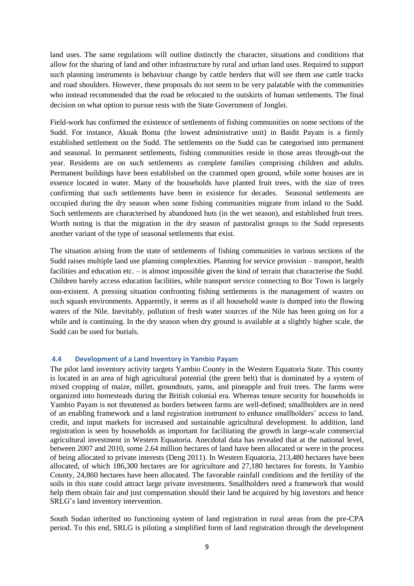land uses. The same regulations will outline distinctly the character, situations and conditions that allow for the sharing of land and other infrastructure by rural and urban land uses. Required to support such planning instruments is behaviour change by cattle herders that will see them use cattle tracks and road shoulders. However, these proposals do not seem to be very palatable with the communities who instead recommended that the road be relocated to the outskirts of human settlements. The final decision on what option to pursue rests with the State Government of Jonglei.

Field-work has confirmed the existence of settlements of fishing communities on some sections of the Sudd. For instance, Akuak Boma (the lowest administrative unit) in Baidit Payam is a firmly established settlement on the Sudd. The settlements on the Sudd can be categorised into permanent and seasonal. In permanent settlements, fishing communities reside in those areas through-out the year. Residents are on such settlements as complete families comprising children and adults. Permanent buildings have been established on the crammed open ground, while some houses are in essence located in water. Many of the households have planted fruit trees, with the size of trees confirming that such settlements have been in existence for decades. Seasonal settlements are occupied during the dry season when some fishing communities migrate from inland to the Sudd. Such settlements are characterised by abandoned huts (in the wet season), and established fruit trees. Worth noting is that the migration in the dry season of pastoralist groups to the Sudd represents another variant of the type of seasonal settlements that exist.

The situation arising from the state of settlements of fishing communities in various sections of the Sudd raises multiple land use planning complexities. Planning for service provision – transport, health facilities and education etc. – is almost impossible given the kind of terrain that characterise the Sudd. Children barely access education facilities, while transport service connecting to Bor Town is largely non-existent. A pressing situation confronting fishing settlements is the management of wastes on such squash environments. Apparently, it seems as if all household waste is dumped into the flowing waters of the Nile. Inevitably, pollution of fresh water sources of the Nile has been going on for a while and is continuing. In the dry season when dry ground is available at a slightly higher scale, the Sudd can be used for burials.

## **4.4 Development of a Land Inventory in Yambio Payam**

The pilot land inventory activity targets Yambio County in the Western Equatoria State. This county is located in an area of high agricultural potential (the green belt) that is dominated by a system of mixed cropping of maize, millet, groundnuts, yams, and pineapple and fruit trees. The farms were organized into homesteads during the British colonial era. Whereas tenure security for households in Yambio Payam is not threatened as borders between farms are well-defined; smallholders are in need of an enabling framework and a land registration instrument to enhance smallholders" access to land, credit, and input markets for increased and sustainable agricultural development. In addition, land registration is seen by households as important for facilitating the growth in large-scale commercial agricultural investment in Western Equatoria. Anecdotal data has revealed that at the national level, between 2007 and 2010, some 2.64 million hectares of land have been allocated or were in the process of being allocated to private interests (Deng 2011). In Western Equatoria, 213,480 hectares have been allocated, of which 186,300 hectares are for agriculture and 27,180 hectares for forests. In Yambio County, 24,860 hectares have been allocated. The favorable rainfall conditions and the fertility of the soils in this state could attract large private investments. Smallholders need a framework that would help them obtain fair and just compensation should their land be acquired by big investors and hence SRLG"s land inventory intervention.

South Sudan inherited no functioning system of land registration in rural areas from the pre-CPA period. To this end, SRLG is piloting a simplified form of land registration through the development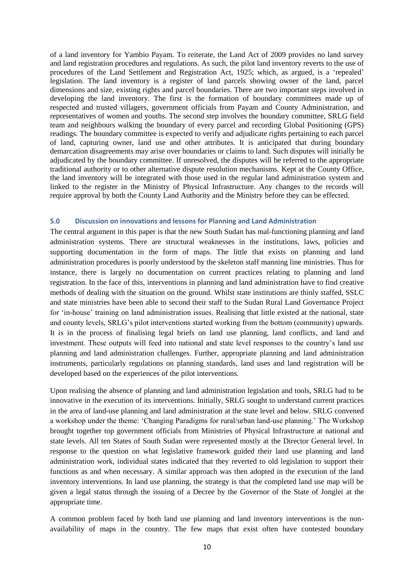of a land inventory for Yambio Payam. To reiterate, the Land Act of 2009 provides no land survey and land registration procedures and regulations. As such, the pilot land inventory reverts to the use of procedures of the Land Settlement and Registration Act, 1925; which, as argued, is a "repealed" legislation. The land inventory is a register of land parcels showing owner of the land, parcel dimensions and size, existing rights and parcel boundaries. There are two important steps involved in developing the land inventory. The first is the formation of boundary committees made up of respected and trusted villagers, government officials from Payam and County Administration, and representatives of women and youths. The second step involves the boundary committee, SRLG field team and neighbours walking the boundary of every parcel and recording Global Positioning (GPS) readings. The boundary committee is expected to verify and adjudicate rights pertaining to each parcel of land, capturing owner, land use and other attributes. It is anticipated that during boundary demarcation disagreements may arise over boundaries or claims to land. Such disputes will initially be adjudicated by the boundary committee. If unresolved, the disputes will be referred to the appropriate traditional authority or to other alternative dispute resolution mechanisms. Kept at the County Office, the land inventory will be integrated with those used in the regular land administration system and linked to the register in the Ministry of Physical Infrastructure. Any changes to the records will require approval by both the County Land Authority and the Ministry before they can be effected.

### **5.0 Discussion on innovations and lessons for Planning and Land Administration**

The central argument in this paper is that the new South Sudan has mal-functioning planning and land administration systems. There are structural weaknesses in the institutions, laws, policies and supporting documentation in the form of maps. The little that exists on planning and land administration procedures is poorly understood by the skeleton staff manning line ministries. Thus for instance, there is largely no documentation on current practices relating to planning and land registration. In the face of this, interventions in planning and land administration have to find creative methods of dealing with the situation on the ground. Whilst state institutions are thinly staffed, SSLC and state ministries have been able to second their staff to the Sudan Rural Land Governance Project for 'in-house' training on land administration issues. Realising that little existed at the national, state and county levels, SRLG"s pilot interventions started working from the bottom (community) upwards. It is in the process of finalising legal briefs on land use planning, land conflicts, and land and investment. These outputs will feed into national and state level responses to the country"s land use planning and land administration challenges. Further, appropriate planning and land administration instruments, particularly regulations on planning standards, land uses and land registration will be developed based on the experiences of the pilot interventions.

Upon realising the absence of planning and land administration legislation and tools, SRLG had to be innovative in the execution of its interventions. Initially, SRLG sought to understand current practices in the area of land-use planning and land administration at the state level and below. SRLG convened a workshop under the theme: "Changing Paradigms for rural/urban land-use planning." The Workshop brought together top government officials from Ministries of Physical Infrastructure at national and state levels. All ten States of South Sudan were represented mostly at the Director General level. In response to the question on what legislative framework guided their land use planning and land administration work, individual states indicated that they reverted to old legislation to support their functions as and when necessary. A similar approach was then adopted in the execution of the land inventory interventions. In land use planning, the strategy is that the completed land use map will be given a legal status through the issuing of a Decree by the Governor of the State of Jonglei at the appropriate time.

A common problem faced by both land use planning and land inventory interventions is the nonavailability of maps in the country. The few maps that exist often have contested boundary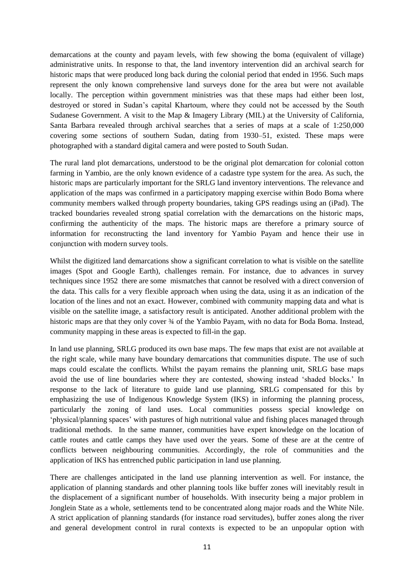demarcations at the county and payam levels, with few showing the boma (equivalent of village) administrative units. In response to that, the land inventory intervention did an archival search for historic maps that were produced long back during the colonial period that ended in 1956. Such maps represent the only known comprehensive land surveys done for the area but were not available locally. The perception within government ministries was that these maps had either been lost, destroyed or stored in Sudan"s capital Khartoum, where they could not be accessed by the South Sudanese Government. A visit to the Map & Imagery Library (MIL) at the University of California, Santa Barbara revealed through archival searches that a series of maps at a scale of 1:250,000 covering some sections of southern Sudan, dating from 1930–51, existed. These maps were photographed with a standard digital camera and were posted to South Sudan.

The rural land plot demarcations, understood to be the original plot demarcation for colonial cotton farming in Yambio, are the only known evidence of a cadastre type system for the area. As such, the historic maps are particularly important for the SRLG land inventory interventions. The relevance and application of the maps was confirmed in a participatory mapping exercise within Bodo Boma where community members walked through property boundaries, taking GPS readings using an (iPad). The tracked boundaries revealed strong spatial correlation with the demarcations on the historic maps, confirming the authenticity of the maps. The historic maps are therefore a primary source of information for reconstructing the land inventory for Yambio Payam and hence their use in conjunction with modern survey tools.

Whilst the digitized land demarcations show a significant correlation to what is visible on the satellite images (Spot and Google Earth), challenges remain. For instance, due to advances in survey techniques since 1952 there are some mismatches that cannot be resolved with a direct conversion of the data. This calls for a very flexible approach when using the data, using it as an indication of the location of the lines and not an exact. However, combined with community mapping data and what is visible on the satellite image, a satisfactory result is anticipated. Another additional problem with the historic maps are that they only cover  $\frac{3}{4}$  of the Yambio Payam, with no data for Boda Boma. Instead, community mapping in these areas is expected to fill-in the gap.

In land use planning, SRLG produced its own base maps. The few maps that exist are not available at the right scale, while many have boundary demarcations that communities dispute. The use of such maps could escalate the conflicts. Whilst the payam remains the planning unit, SRLG base maps avoid the use of line boundaries where they are contested, showing instead "shaded blocks." In response to the lack of literature to guide land use planning, SRLG compensated for this by emphasizing the use of Indigenous Knowledge System (IKS) in informing the planning process, particularly the zoning of land uses. Local communities possess special knowledge on "physical/planning spaces" with pastures of high nutritional value and fishing places managed through traditional methods. In the same manner, communities have expert knowledge on the location of cattle routes and cattle camps they have used over the years. Some of these are at the centre of conflicts between neighbouring communities. Accordingly, the role of communities and the application of IKS has entrenched public participation in land use planning.

There are challenges anticipated in the land use planning intervention as well. For instance, the application of planning standards and other planning tools like buffer zones will inevitably result in the displacement of a significant number of households. With insecurity being a major problem in Jonglein State as a whole, settlements tend to be concentrated along major roads and the White Nile. A strict application of planning standards (for instance road servitudes), buffer zones along the river and general development control in rural contexts is expected to be an unpopular option with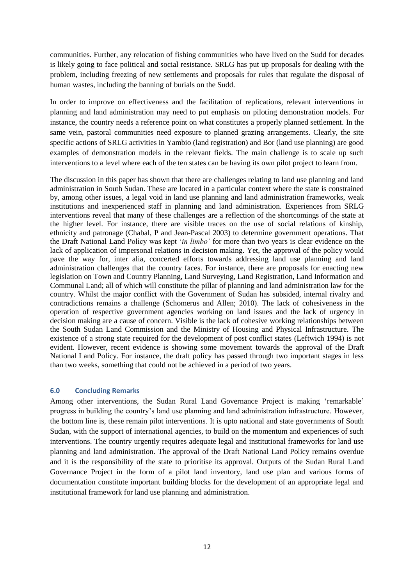communities. Further, any relocation of fishing communities who have lived on the Sudd for decades is likely going to face political and social resistance. SRLG has put up proposals for dealing with the problem, including freezing of new settlements and proposals for rules that regulate the disposal of human wastes, including the banning of burials on the Sudd.

In order to improve on effectiveness and the facilitation of replications, relevant interventions in planning and land administration may need to put emphasis on piloting demonstration models. For instance, the country needs a reference point on what constitutes a properly planned settlement. In the same vein, pastoral communities need exposure to planned grazing arrangements. Clearly, the site specific actions of SRLG activities in Yambio (land registration) and Bor (land use planning) are good examples of demonstration models in the relevant fields. The main challenge is to scale up such interventions to a level where each of the ten states can be having its own pilot project to learn from.

The discussion in this paper has shown that there are challenges relating to land use planning and land administration in South Sudan. These are located in a particular context where the state is constrained by, among other issues, a legal void in land use planning and land administration frameworks, weak institutions and inexperienced staff in planning and land administration. Experiences from SRLG interventions reveal that many of these challenges are a reflection of the shortcomings of the state at the higher level. For instance, there are visible traces on the use of social relations of kinship, ethnicity and patronage (Chabal, P and Jean-Pascal 2003) to determine government operations. That the Draft National Land Policy was kept "*in limbo'* for more than two years is clear evidence on the lack of application of impersonal relations in decision making. Yet, the approval of the policy would pave the way for, inter alia, concerted efforts towards addressing land use planning and land administration challenges that the country faces. For instance, there are proposals for enacting new legislation on Town and Country Planning, Land Surveying, Land Registration, Land Information and Communal Land; all of which will constitute the pillar of planning and land administration law for the country. Whilst the major conflict with the Government of Sudan has subsided, internal rivalry and contradictions remains a challenge (Schomerus and Allen; 2010). The lack of cohesiveness in the operation of respective government agencies working on land issues and the lack of urgency in decision making are a cause of concern. Visible is the lack of cohesive working relationships between the South Sudan Land Commission and the Ministry of Housing and Physical Infrastructure. The existence of a strong state required for the development of post conflict states (Leftwich 1994) is not evident. However, recent evidence is showing some movement towards the approval of the Draft National Land Policy. For instance, the draft policy has passed through two important stages in less than two weeks, something that could not be achieved in a period of two years.

## **6.0 Concluding Remarks**

Among other interventions, the Sudan Rural Land Governance Project is making "remarkable" progress in building the country"s land use planning and land administration infrastructure. However, the bottom line is, these remain pilot interventions. It is upto national and state governments of South Sudan, with the support of international agencies, to build on the momentum and experiences of such interventions. The country urgently requires adequate legal and institutional frameworks for land use planning and land administration. The approval of the Draft National Land Policy remains overdue and it is the responsibility of the state to prioritise its approval. Outputs of the Sudan Rural Land Governance Project in the form of a pilot land inventory, land use plan and various forms of documentation constitute important building blocks for the development of an appropriate legal and institutional framework for land use planning and administration.